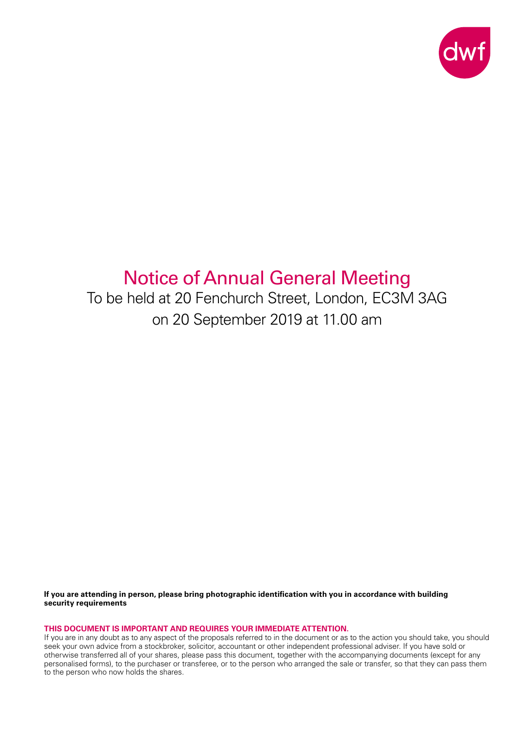

# Notice of Annual General Meeting

To be held at 20 Fenchurch Street, London, EC3M 3AG on 20 September 2019 at 11.00 am

**If you are attending in person, please bring photographic identification with you in accordance with building security requirements**

**THIS DOCUMENT IS IMPORTANT AND REQUIRES YOUR IMMEDIATE ATTENTION.**

If you are in any doubt as to any aspect of the proposals referred to in the document or as to the action you should take, you should seek your own advice from a stockbroker, solicitor, accountant or other independent professional adviser. If you have sold or otherwise transferred all of your shares, please pass this document, together with the accompanying documents (except for any personalised forms), to the purchaser or transferee, or to the person who arranged the sale or transfer, so that they can pass them to the person who now holds the shares.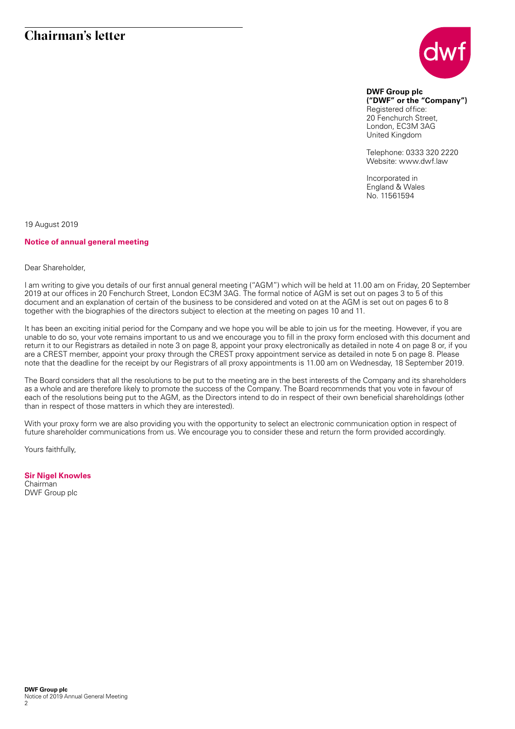# **Chairman's letter**



**DWF Group plc ("DWF" or the "Company")** Registered office: 20 Fenchurch Street, London, EC3M 3AG United Kingdom

Telephone: 0333 320 2220 Website: www.dwf.law

Incorporated in England & Wales No. 11561594

19 August 2019

#### **Notice of annual general meeting**

#### Dear Shareholder,

I am writing to give you details of our first annual general meeting ("AGM") which will be held at 11.00 am on Friday, 20 September 2019 at our offices in 20 Fenchurch Street, London EC3M 3AG. The formal notice of AGM is set out on pages 3 to 5 of this document and an explanation of certain of the business to be considered and voted on at the AGM is set out on pages 6 to 8 together with the biographies of the directors subject to election at the meeting on pages 10 and 11.

It has been an exciting initial period for the Company and we hope you will be able to join us for the meeting. However, if you are unable to do so, your vote remains important to us and we encourage you to fill in the proxy form enclosed with this document and return it to our Registrars as detailed in note 3 on page 8, appoint your proxy electronically as detailed in note 4 on page 8 or, if you are a CREST member, appoint your proxy through the CREST proxy appointment service as detailed in note 5 on page 8. Please note that the deadline for the receipt by our Registrars of all proxy appointments is 11.00 am on Wednesday, 18 September 2019.

The Board considers that all the resolutions to be put to the meeting are in the best interests of the Company and its shareholders as a whole and are therefore likely to promote the success of the Company. The Board recommends that you vote in favour of each of the resolutions being put to the AGM, as the Directors intend to do in respect of their own beneficial shareholdings (other than in respect of those matters in which they are interested).

With your proxy form we are also providing you with the opportunity to select an electronic communication option in respect of future shareholder communications from us. We encourage you to consider these and return the form provided accordingly.

Yours faithfully,

## **Sir Nigel Knowles**

Chairman DWF Group plc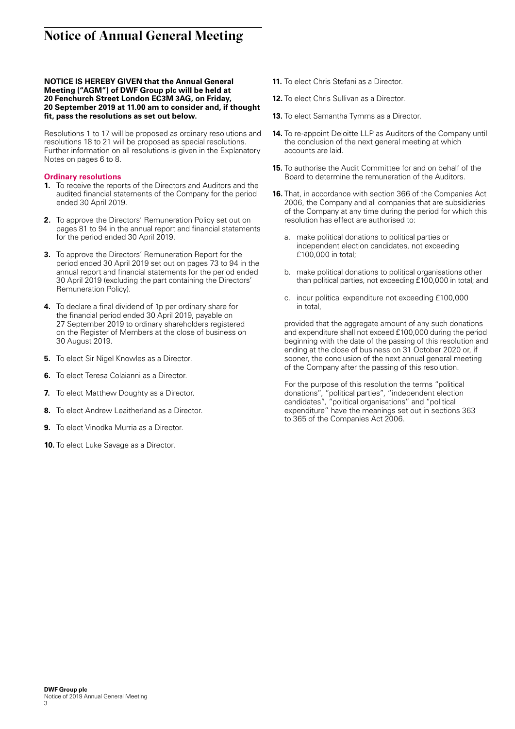# **Notice of Annual General Meeting**

#### **NOTICE IS HEREBY GIVEN that the Annual General Meeting ("AGM") of DWF Group plc will be held at 20 Fenchurch Street London EC3M 3AG, on Friday, 20 September 2019 at 11.00 am to consider and, if thought fit, pass the resolutions as set out below.**

Resolutions 1 to 17 will be proposed as ordinary resolutions and resolutions 18 to 21 will be proposed as special resolutions. Further information on all resolutions is given in the Explanatory Notes on pages 6 to 8.

#### **Ordinary resolutions**

- **1.** To receive the reports of the Directors and Auditors and the audited financial statements of the Company for the period ended 30 April 2019.
- **2.** To approve the Directors' Remuneration Policy set out on pages 81 to 94 in the annual report and financial statements for the period ended 30 April 2019.
- **3.** To approve the Directors' Remuneration Report for the period ended 30 April 2019 set out on pages 73 to 94 in the annual report and financial statements for the period ended 30 April 2019 (excluding the part containing the Directors' Remuneration Policy).
- **4.** To declare a final dividend of 1p per ordinary share for the financial period ended 30 April 2019, payable on 27 September 2019 to ordinary shareholders registered on the Register of Members at the close of business on 30 August 2019.
- **5.** To elect Sir Nigel Knowles as a Director.
- **6.** To elect Teresa Colaianni as a Director.
- **7.** To elect Matthew Doughty as a Director.
- **8.** To elect Andrew Leaitherland as a Director.
- **9.** To elect Vinodka Murria as a Director.
- **10.** To elect Luke Savage as a Director.
- **11.** To elect Chris Stefani as a Director.
- **12.** To elect Chris Sullivan as a Director.
- **13.** To elect Samantha Tymms as a Director.
- **14.** To re-appoint Deloitte LLP as Auditors of the Company until the conclusion of the next general meeting at which accounts are laid.
- **15.** To authorise the Audit Committee for and on behalf of the Board to determine the remuneration of the Auditors.
- **16.** That, in accordance with section 366 of the Companies Act 2006, the Company and all companies that are subsidiaries of the Company at any time during the period for which this resolution has effect are authorised to:
	- a. make political donations to political parties or independent election candidates, not exceeding £100,000 in total;
	- b. make political donations to political organisations other than political parties, not exceeding £100,000 in total; and
	- c. incur political expenditure not exceeding £100,000 in total,

 provided that the aggregate amount of any such donations and expenditure shall not exceed £100,000 during the period beginning with the date of the passing of this resolution and ending at the close of business on 31 October 2020 or, if sooner, the conclusion of the next annual general meeting of the Company after the passing of this resolution.

 For the purpose of this resolution the terms "political donations", "political parties", "independent election candidates", "political organisations" and "political expenditure" have the meanings set out in sections 363 to 365 of the Companies Act 2006.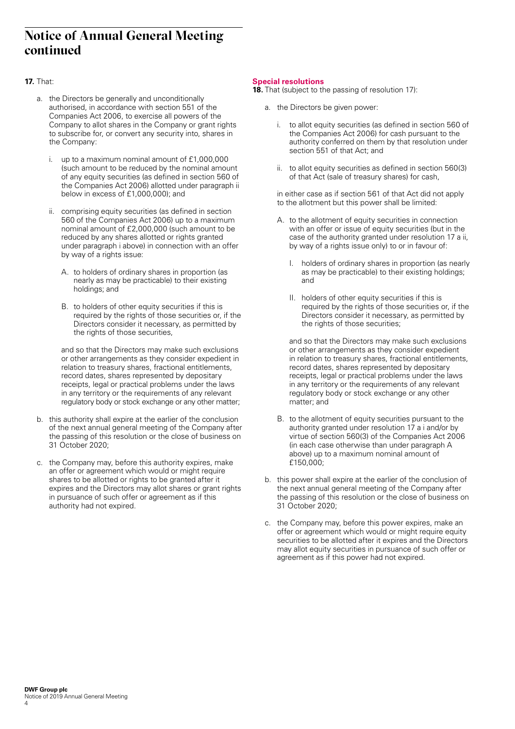# **Notice of Annual General Meeting continued**

## **17.** That:

- a. the Directors be generally and unconditionally authorised, in accordance with section 551 of the Companies Act 2006, to exercise all powers of the Company to allot shares in the Company or grant rights to subscribe for, or convert any security into, shares in the Company:
	- i. up to a maximum nominal amount of £1,000,000 (such amount to be reduced by the nominal amount of any equity securities (as defined in section 560 of the Companies Act 2006) allotted under paragraph ii below in excess of £1,000,000); and
	- comprising equity securities (as defined in section 560 of the Companies Act 2006) up to a maximum nominal amount of £2,000,000 (such amount to be reduced by any shares allotted or rights granted under paragraph i above) in connection with an offer by way of a rights issue:
		- A. to holders of ordinary shares in proportion (as nearly as may be practicable) to their existing holdings; and
		- B. to holders of other equity securities if this is required by the rights of those securities or, if the Directors consider it necessary, as permitted by the rights of those securities,

 and so that the Directors may make such exclusions or other arrangements as they consider expedient in relation to treasury shares, fractional entitlements, record dates, shares represented by depositary receipts, legal or practical problems under the laws in any territory or the requirements of any relevant regulatory body or stock exchange or any other matter;

- b. this authority shall expire at the earlier of the conclusion of the next annual general meeting of the Company after the passing of this resolution or the close of business on 31 October 2020;
- c. the Company may, before this authority expires, make an offer or agreement which would or might require shares to be allotted or rights to be granted after it expires and the Directors may allot shares or grant rights in pursuance of such offer or agreement as if this authority had not expired.

#### **Special resolutions**

**18.** That (subject to the passing of resolution 17):

- a. the Directors be given power:
	- i. to allot equity securities (as defined in section 560 of the Companies Act 2006) for cash pursuant to the authority conferred on them by that resolution under section 551 of that Act; and
	- ii. to allot equity securities as defined in section 560(3) of that Act (sale of treasury shares) for cash,

 in either case as if section 561 of that Act did not apply to the allotment but this power shall be limited:

- A. to the allotment of equity securities in connection with an offer or issue of equity securities (but in the case of the authority granted under resolution 17 a ii, by way of a rights issue only) to or in favour of:
	- I. holders of ordinary shares in proportion (as nearly as may be practicable) to their existing holdings; and
	- II. holders of other equity securities if this is required by the rights of those securities or, if the Directors consider it necessary, as permitted by the rights of those securities;

 and so that the Directors may make such exclusions or other arrangements as they consider expedient in relation to treasury shares, fractional entitlements, record dates, shares represented by depositary receipts, legal or practical problems under the laws in any territory or the requirements of any relevant regulatory body or stock exchange or any other matter; and

- B. to the allotment of equity securities pursuant to the authority granted under resolution 17 a i and/or by virtue of section 560(3) of the Companies Act 2006 (in each case otherwise than under paragraph A above) up to a maximum nominal amount of  $f150,000$
- b. this power shall expire at the earlier of the conclusion of the next annual general meeting of the Company after the passing of this resolution or the close of business on 31 October 2020;
- c. the Company may, before this power expires, make an offer or agreement which would or might require equity securities to be allotted after it expires and the Directors may allot equity securities in pursuance of such offer or agreement as if this power had not expired.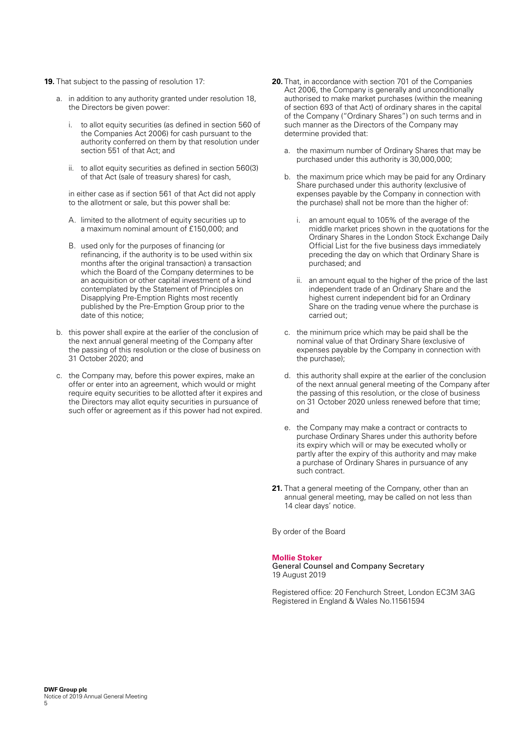- **19.** That subject to the passing of resolution 17:
	- a. in addition to any authority granted under resolution 18, the Directors be given power:
		- i. to allot equity securities (as defined in section 560 of the Companies Act 2006) for cash pursuant to the authority conferred on them by that resolution under section 551 of that Act; and
		- ii. to allot equity securities as defined in section 560(3) of that Act (sale of treasury shares) for cash,

 in either case as if section 561 of that Act did not apply to the allotment or sale, but this power shall be:

- A. limited to the allotment of equity securities up to a maximum nominal amount of £150,000; and
- B. used only for the purposes of financing (or refinancing, if the authority is to be used within six months after the original transaction) a transaction which the Board of the Company determines to be an acquisition or other capital investment of a kind contemplated by the Statement of Principles on Disapplying Pre-Emption Rights most recently published by the Pre-Emption Group prior to the date of this notice;
- b. this power shall expire at the earlier of the conclusion of the next annual general meeting of the Company after the passing of this resolution or the close of business on 31 October 2020; and
- c. the Company may, before this power expires, make an offer or enter into an agreement, which would or might require equity securities to be allotted after it expires and the Directors may allot equity securities in pursuance of such offer or agreement as if this power had not expired.
- **20.** That, in accordance with section 701 of the Companies Act 2006, the Company is generally and unconditionally authorised to make market purchases (within the meaning of section 693 of that Act) of ordinary shares in the capital of the Company ("Ordinary Shares") on such terms and in such manner as the Directors of the Company may determine provided that:
	- a. the maximum number of Ordinary Shares that may be purchased under this authority is 30,000,000;
	- b. the maximum price which may be paid for any Ordinary Share purchased under this authority (exclusive of expenses payable by the Company in connection with the purchase) shall not be more than the higher of:
		- i. an amount equal to 105% of the average of the middle market prices shown in the quotations for the Ordinary Shares in the London Stock Exchange Daily Official List for the five business days immediately preceding the day on which that Ordinary Share is purchased; and
		- ii. an amount equal to the higher of the price of the last independent trade of an Ordinary Share and the highest current independent bid for an Ordinary Share on the trading venue where the purchase is carried out;
	- c. the minimum price which may be paid shall be the nominal value of that Ordinary Share (exclusive of expenses payable by the Company in connection with the purchase);
	- d. this authority shall expire at the earlier of the conclusion of the next annual general meeting of the Company after the passing of this resolution, or the close of business on 31 October 2020 unless renewed before that time; and
	- e. the Company may make a contract or contracts to purchase Ordinary Shares under this authority before its expiry which will or may be executed wholly or partly after the expiry of this authority and may make a purchase of Ordinary Shares in pursuance of any such contract.
- **21.** That a general meeting of the Company, other than an annual general meeting, may be called on not less than 14 clear days' notice.

By order of the Board

#### **Mollie Stoker**

General Counsel and Company Secretary 19 August 2019

Registered office: 20 Fenchurch Street, London EC3M 3AG Registered in England & Wales No.11561594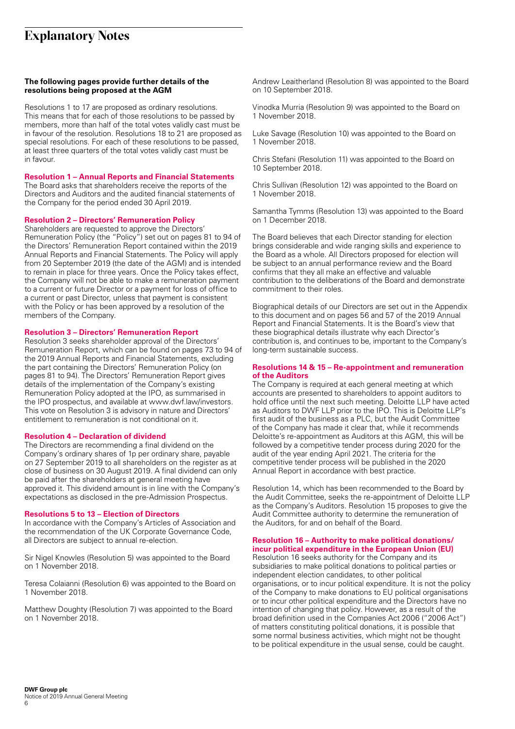# **Explanatory Notes**

#### **The following pages provide further details of the resolutions being proposed at the AGM**

Resolutions 1 to 17 are proposed as ordinary resolutions. This means that for each of those resolutions to be passed by members, more than half of the total votes validly cast must be in favour of the resolution. Resolutions 18 to 21 are proposed as special resolutions. For each of these resolutions to be passed, at least three quarters of the total votes validly cast must be in favour.

#### **Resolution 1 – Annual Reports and Financial Statements**

The Board asks that shareholders receive the reports of the Directors and Auditors and the audited financial statements of the Company for the period ended 30 April 2019.

#### **Resolution 2 – Directors' Remuneration Policy**

Shareholders are requested to approve the Directors' Remuneration Policy (the "Policy") set out on pages 81 to 94 of the Directors' Remuneration Report contained within the 2019 Annual Reports and Financial Statements. The Policy will apply from 20 September 2019 (the date of the AGM) and is intended to remain in place for three years. Once the Policy takes effect, the Company will not be able to make a remuneration payment to a current or future Director or a payment for loss of office to a current or past Director, unless that payment is consistent with the Policy or has been approved by a resolution of the members of the Company.

#### **Resolution 3 – Directors' Remuneration Report**

Resolution 3 seeks shareholder approval of the Directors' Remuneration Report, which can be found on pages 73 to 94 of the 2019 Annual Reports and Financial Statements, excluding the part containing the Directors' Remuneration Policy (on pages 81 to 94). The Directors' Remuneration Report gives details of the implementation of the Company's existing Remuneration Policy adopted at the IPO, as summarised in the IPO prospectus, and available at www.dwf.law/investors. This vote on Resolution 3 is advisory in nature and Directors' entitlement to remuneration is not conditional on it.

#### **Resolution 4 – Declaration of dividend**

The Directors are recommending a final dividend on the Company's ordinary shares of 1p per ordinary share, payable on 27 September 2019 to all shareholders on the register as at close of business on 30 August 2019. A final dividend can only be paid after the shareholders at general meeting have approved it. This dividend amount is in line with the Company's expectations as disclosed in the pre-Admission Prospectus.

#### **Resolutions 5 to 13 – Election of Directors**

In accordance with the Company's Articles of Association and the recommendation of the UK Corporate Governance Code, all Directors are subject to annual re-election.

Sir Nigel Knowles (Resolution 5) was appointed to the Board on 1 November 2018.

Teresa Colaianni (Resolution 6) was appointed to the Board on 1 November 2018.

Matthew Doughty (Resolution 7) was appointed to the Board on 1 November 2018.

Andrew Leaitherland (Resolution 8) was appointed to the Board on 10 September 2018.

Vinodka Murria (Resolution 9) was appointed to the Board on 1 November 2018.

Luke Savage (Resolution 10) was appointed to the Board on 1 November 2018.

Chris Stefani (Resolution 11) was appointed to the Board on 10 September 2018.

Chris Sullivan (Resolution 12) was appointed to the Board on 1 November 2018.

Samantha Tymms (Resolution 13) was appointed to the Board on 1 December 2018.

The Board believes that each Director standing for election brings considerable and wide ranging skills and experience to the Board as a whole. All Directors proposed for election will be subject to an annual performance review and the Board confirms that they all make an effective and valuable contribution to the deliberations of the Board and demonstrate commitment to their roles.

Biographical details of our Directors are set out in the Appendix to this document and on pages 56 and 57 of the 2019 Annual Report and Financial Statements. It is the Board's view that these biographical details illustrate why each Director's contribution is, and continues to be, important to the Company's long-term sustainable success.

#### **Resolutions 14 & 15 – Re-appointment and remuneration of the Auditors**

The Company is required at each general meeting at which accounts are presented to shareholders to appoint auditors to hold office until the next such meeting. Deloitte LLP have acted as Auditors to DWF LLP prior to the IPO. This is Deloitte LLP's first audit of the business as a PLC, but the Audit Committee of the Company has made it clear that, while it recommends Deloitte's re-appointment as Auditors at this AGM, this will be followed by a competitive tender process during 2020 for the audit of the year ending April 2021. The criteria for the competitive tender process will be published in the 2020 Annual Report in accordance with best practice.

Resolution 14, which has been recommended to the Board by the Audit Committee, seeks the re-appointment of Deloitte LLP as the Company's Auditors. Resolution 15 proposes to give the Audit Committee authority to determine the remuneration of the Auditors, for and on behalf of the Board.

#### **Resolution 16 – Authority to make political donations/ incur political expenditure in the European Union (EU)**

Resolution 16 seeks authority for the Company and its subsidiaries to make political donations to political parties or independent election candidates, to other political organisations, or to incur political expenditure. It is not the policy of the Company to make donations to EU political organisations or to incur other political expenditure and the Directors have no intention of changing that policy. However, as a result of the broad definition used in the Companies Act 2006 ("2006 Act") of matters constituting political donations, it is possible that some normal business activities, which might not be thought to be political expenditure in the usual sense, could be caught.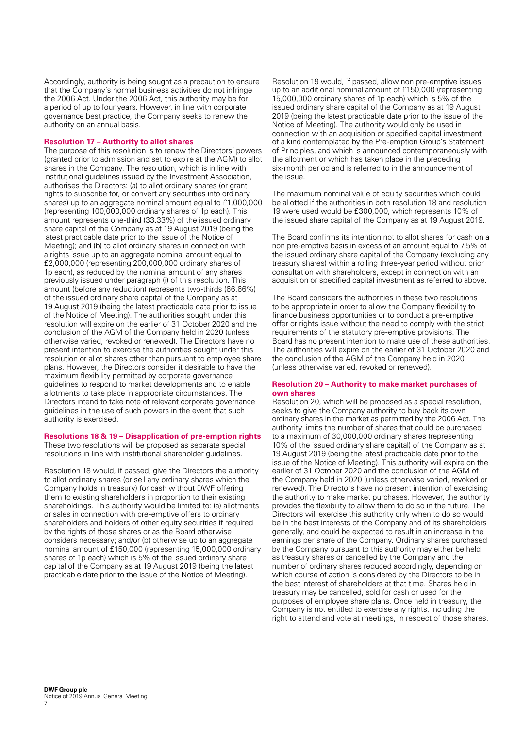Accordingly, authority is being sought as a precaution to ensure that the Company's normal business activities do not infringe the 2006 Act. Under the 2006 Act, this authority may be for a period of up to four years. However, in line with corporate governance best practice, the Company seeks to renew the authority on an annual basis.

#### **Resolution 17 – Authority to allot shares**

The purpose of this resolution is to renew the Directors' powers (granted prior to admission and set to expire at the AGM) to allot shares in the Company. The resolution, which is in line with institutional guidelines issued by the Investment Association, authorises the Directors: (a) to allot ordinary shares (or grant rights to subscribe for, or convert any securities into ordinary shares) up to an aggregate nominal amount equal to £1,000,000 (representing 100,000,000 ordinary shares of 1p each). This amount represents one-third (33.33%) of the issued ordinary share capital of the Company as at 19 August 2019 (being the latest practicable date prior to the issue of the Notice of Meeting); and (b) to allot ordinary shares in connection with a rights issue up to an aggregate nominal amount equal to £2,000,000 (representing 200,000,000 ordinary shares of 1p each), as reduced by the nominal amount of any shares previously issued under paragraph (i) of this resolution. This amount (before any reduction) represents two-thirds (66.66%) of the issued ordinary share capital of the Company as at 19 August 2019 (being the latest practicable date prior to issue of the Notice of Meeting). The authorities sought under this resolution will expire on the earlier of 31 October 2020 and the conclusion of the AGM of the Company held in 2020 (unless otherwise varied, revoked or renewed). The Directors have no present intention to exercise the authorities sought under this resolution or allot shares other than pursuant to employee share plans. However, the Directors consider it desirable to have the maximum flexibility permitted by corporate governance guidelines to respond to market developments and to enable allotments to take place in appropriate circumstances. The Directors intend to take note of relevant corporate governance guidelines in the use of such powers in the event that such authority is exercised.

#### **Resolutions 18 & 19 – Disapplication of pre-emption rights**

These two resolutions will be proposed as separate special resolutions in line with institutional shareholder guidelines.

Resolution 18 would, if passed, give the Directors the authority to allot ordinary shares (or sell any ordinary shares which the Company holds in treasury) for cash without DWF offering them to existing shareholders in proportion to their existing shareholdings. This authority would be limited to: (a) allotments or sales in connection with pre-emptive offers to ordinary shareholders and holders of other equity securities if required by the rights of those shares or as the Board otherwise considers necessary; and/or (b) otherwise up to an aggregate nominal amount of £150,000 (representing 15,000,000 ordinary shares of 1p each) which is 5% of the issued ordinary share capital of the Company as at 19 August 2019 (being the latest practicable date prior to the issue of the Notice of Meeting).

Resolution 19 would, if passed, allow non pre-emptive issues up to an additional nominal amount of £150,000 (representing 15,000,000 ordinary shares of 1p each) which is 5% of the issued ordinary share capital of the Company as at 19 August 2019 (being the latest practicable date prior to the issue of the Notice of Meeting). The authority would only be used in connection with an acquisition or specified capital investment of a kind contemplated by the Pre-emption Group's Statement of Principles, and which is announced contemporaneously with the allotment or which has taken place in the preceding six-month period and is referred to in the announcement of the issue.

The maximum nominal value of equity securities which could be allotted if the authorities in both resolution 18 and resolution 19 were used would be £300,000, which represents 10% of the issued share capital of the Company as at 19 August 2019.

The Board confirms its intention not to allot shares for cash on a non pre-emptive basis in excess of an amount equal to 7.5% of the issued ordinary share capital of the Company (excluding any treasury shares) within a rolling three-year period without prior consultation with shareholders, except in connection with an acquisition or specified capital investment as referred to above.

The Board considers the authorities in these two resolutions to be appropriate in order to allow the Company flexibility to finance business opportunities or to conduct a pre-emptive offer or rights issue without the need to comply with the strict requirements of the statutory pre-emptive provisions. The Board has no present intention to make use of these authorities. The authorities will expire on the earlier of 31 October 2020 and the conclusion of the AGM of the Company held in 2020 (unless otherwise varied, revoked or renewed).

#### **Resolution 20 – Authority to make market purchases of own shares**

Resolution 20, which will be proposed as a special resolution, seeks to give the Company authority to buy back its own ordinary shares in the market as permitted by the 2006 Act. The authority limits the number of shares that could be purchased to a maximum of 30,000,000 ordinary shares (representing 10% of the issued ordinary share capital) of the Company as at 19 August 2019 (being the latest practicable date prior to the issue of the Notice of Meeting). This authority will expire on the earlier of 31 October 2020 and the conclusion of the AGM of the Company held in 2020 (unless otherwise varied, revoked or renewed). The Directors have no present intention of exercising the authority to make market purchases. However, the authority provides the flexibility to allow them to do so in the future. The Directors will exercise this authority only when to do so would be in the best interests of the Company and of its shareholders generally, and could be expected to result in an increase in the earnings per share of the Company. Ordinary shares purchased by the Company pursuant to this authority may either be held as treasury shares or cancelled by the Company and the number of ordinary shares reduced accordingly, depending on which course of action is considered by the Directors to be in the best interest of shareholders at that time. Shares held in treasury may be cancelled, sold for cash or used for the purposes of employee share plans. Once held in treasury, the Company is not entitled to exercise any rights, including the right to attend and vote at meetings, in respect of those shares.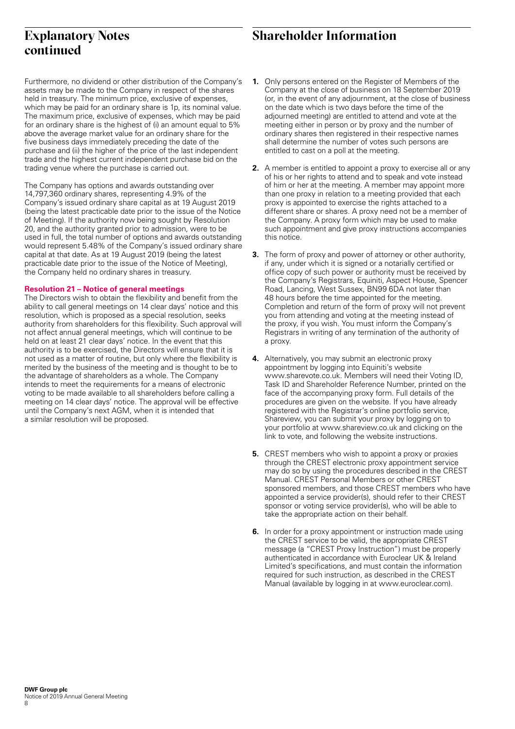# **continued**

# **Explanatory Notes** Shareholder Information

Furthermore, no dividend or other distribution of the Company's assets may be made to the Company in respect of the shares held in treasury. The minimum price, exclusive of expenses, which may be paid for an ordinary share is 1p, its nominal value. The maximum price, exclusive of expenses, which may be paid for an ordinary share is the highest of (i) an amount equal to 5% above the average market value for an ordinary share for the five business days immediately preceding the date of the purchase and (ii) the higher of the price of the last independent trade and the highest current independent purchase bid on the trading venue where the purchase is carried out.

The Company has options and awards outstanding over 14,797,360 ordinary shares, representing 4.9% of the Company's issued ordinary share capital as at 19 August 2019 (being the latest practicable date prior to the issue of the Notice of Meeting). If the authority now being sought by Resolution 20, and the authority granted prior to admission, were to be used in full, the total number of options and awards outstanding would represent 5.48% of the Company's issued ordinary share capital at that date. As at 19 August 2019 (being the latest practicable date prior to the issue of the Notice of Meeting), the Company held no ordinary shares in treasury.

#### **Resolution 21 – Notice of general meetings**

The Directors wish to obtain the flexibility and benefit from the ability to call general meetings on 14 clear days' notice and this resolution, which is proposed as a special resolution, seeks authority from shareholders for this flexibility. Such approval will not affect annual general meetings, which will continue to be held on at least 21 clear days' notice. In the event that this authority is to be exercised, the Directors will ensure that it is not used as a matter of routine, but only where the flexibility is merited by the business of the meeting and is thought to be to the advantage of shareholders as a whole. The Company intends to meet the requirements for a means of electronic voting to be made available to all shareholders before calling a meeting on 14 clear days' notice. The approval will be effective until the Company's next AGM, when it is intended that a similar resolution will be proposed.

- **1.** Only persons entered on the Register of Members of the Company at the close of business on 18 September 2019 (or, in the event of any adjournment, at the close of business on the date which is two days before the time of the adjourned meeting) are entitled to attend and vote at the meeting either in person or by proxy and the number of ordinary shares then registered in their respective names shall determine the number of votes such persons are entitled to cast on a poll at the meeting.
- **2.** A member is entitled to appoint a proxy to exercise all or any of his or her rights to attend and to speak and vote instead of him or her at the meeting. A member may appoint more than one proxy in relation to a meeting provided that each proxy is appointed to exercise the rights attached to a different share or shares. A proxy need not be a member of the Company. A proxy form which may be used to make such appointment and give proxy instructions accompanies this notice.
- **3.** The form of proxy and power of attorney or other authority. if any, under which it is signed or a notarially certified or office copy of such power or authority must be received by the Company's Registrars, Equiniti, Aspect House, Spencer Road, Lancing, West Sussex, BN99 6DA not later than 48 hours before the time appointed for the meeting. Completion and return of the form of proxy will not prevent you from attending and voting at the meeting instead of the proxy, if you wish. You must inform the Company's Registrars in writing of any termination of the authority of a proxy.
- **4.** Alternatively, you may submit an electronic proxy appointment by logging into Equiniti's website www.sharevote.co.uk. Members will need their Voting ID, Task ID and Shareholder Reference Number, printed on the face of the accompanying proxy form. Full details of the procedures are given on the website. If you have already registered with the Registrar's online portfolio service, Shareview, you can submit your proxy by logging on to your portfolio at www.shareview.co.uk and clicking on the link to vote, and following the website instructions.
- **5.** CREST members who wish to appoint a proxy or proxies through the CREST electronic proxy appointment service may do so by using the procedures described in the CREST Manual. CREST Personal Members or other CREST sponsored members, and those CREST members who have appointed a service provider(s), should refer to their CREST sponsor or voting service provider(s), who will be able to take the appropriate action on their behalf.
- **6.** In order for a proxy appointment or instruction made using the CREST service to be valid, the appropriate CREST message (a "CREST Proxy Instruction") must be properly authenticated in accordance with Euroclear UK & Ireland Limited's specifications, and must contain the information required for such instruction, as described in the CREST Manual (available by logging in at www.euroclear.com).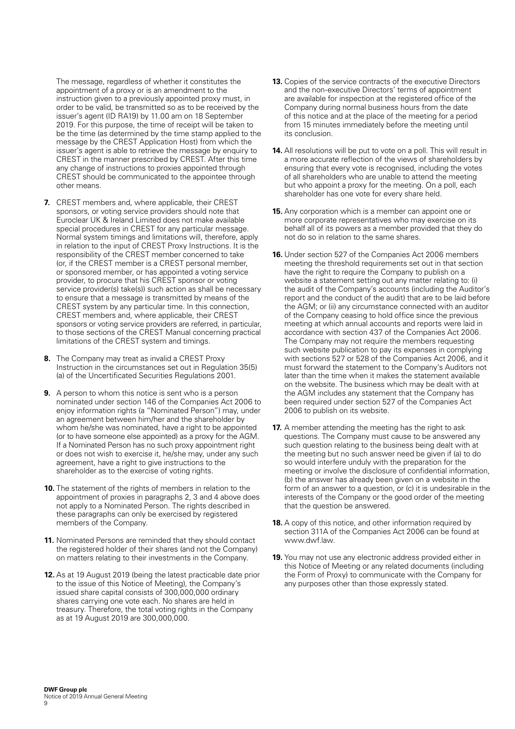The message, regardless of whether it constitutes the appointment of a proxy or is an amendment to the instruction given to a previously appointed proxy must, in order to be valid, be transmitted so as to be received by the issuer's agent (ID RA19) by 11.00 am on 18 September 2019. For this purpose, the time of receipt will be taken to be the time (as determined by the time stamp applied to the message by the CREST Application Host) from which the issuer's agent is able to retrieve the message by enquiry to CREST in the manner prescribed by CREST. After this time any change of instructions to proxies appointed through CREST should be communicated to the appointee through other means.

- **7.** CREST members and, where applicable, their CREST sponsors, or voting service providers should note that Euroclear UK & Ireland Limited does not make available special procedures in CREST for any particular message. Normal system timings and limitations will, therefore, apply in relation to the input of CREST Proxy Instructions. It is the responsibility of the CREST member concerned to take (or, if the CREST member is a CREST personal member, or sponsored member, or has appointed a voting service provider, to procure that his CREST sponsor or voting service provider(s) take(s)) such action as shall be necessary to ensure that a message is transmitted by means of the CREST system by any particular time. In this connection, CREST members and, where applicable, their CREST sponsors or voting service providers are referred, in particular, to those sections of the CREST Manual concerning practical limitations of the CREST system and timings.
- **8.** The Company may treat as invalid a CREST Proxy Instruction in the circumstances set out in Regulation 35(5) (a) of the Uncertificated Securities Regulations 2001.
- **9.** A person to whom this notice is sent who is a person nominated under section 146 of the Companies Act 2006 to enjoy information rights (a "Nominated Person") may, under an agreement between him/her and the shareholder by whom he/she was nominated, have a right to be appointed (or to have someone else appointed) as a proxy for the AGM. If a Nominated Person has no such proxy appointment right or does not wish to exercise it, he/she may, under any such agreement, have a right to give instructions to the shareholder as to the exercise of voting rights.
- **10.** The statement of the rights of members in relation to the appointment of proxies in paragraphs 2, 3 and 4 above does not apply to a Nominated Person. The rights described in these paragraphs can only be exercised by registered members of the Company.
- **11.** Nominated Persons are reminded that they should contact the registered holder of their shares (and not the Company) on matters relating to their investments in the Company.
- **12.** As at 19 August 2019 (being the latest practicable date prior to the issue of this Notice of Meeting), the Company's issued share capital consists of 300,000,000 ordinary shares carrying one vote each. No shares are held in treasury. Therefore, the total voting rights in the Company as at 19 August 2019 are 300,000,000.
- **13.** Copies of the service contracts of the executive Directors and the non-executive Directors' terms of appointment are available for inspection at the registered office of the Company during normal business hours from the date of this notice and at the place of the meeting for a period from 15 minutes immediately before the meeting until its conclusion.
- **14.** All resolutions will be put to vote on a poll. This will result in a more accurate reflection of the views of shareholders by ensuring that every vote is recognised, including the votes of all shareholders who are unable to attend the meeting but who appoint a proxy for the meeting. On a poll, each shareholder has one vote for every share held.
- **15.** Any corporation which is a member can appoint one or more corporate representatives who may exercise on its behalf all of its powers as a member provided that they do not do so in relation to the same shares.
- **16.** Under section 527 of the Companies Act 2006 members meeting the threshold requirements set out in that section have the right to require the Company to publish on a website a statement setting out any matter relating to: (i) the audit of the Company's accounts (including the Auditor's report and the conduct of the audit) that are to be laid before the AGM; or (ii) any circumstance connected with an auditor of the Company ceasing to hold office since the previous meeting at which annual accounts and reports were laid in accordance with section 437 of the Companies Act 2006. The Company may not require the members requesting such website publication to pay its expenses in complying with sections 527 or 528 of the Companies Act 2006, and it must forward the statement to the Company's Auditors not later than the time when it makes the statement available on the website. The business which may be dealt with at the AGM includes any statement that the Company has been required under section 527 of the Companies Act 2006 to publish on its website.
- **17.** A member attending the meeting has the right to ask questions. The Company must cause to be answered any such question relating to the business being dealt with at the meeting but no such answer need be given if (a) to do so would interfere unduly with the preparation for the meeting or involve the disclosure of confidential information, (b) the answer has already been given on a website in the form of an answer to a question, or (c) it is undesirable in the interests of the Company or the good order of the meeting that the question be answered.
- **18.** A copy of this notice, and other information required by section 311A of the Companies Act 2006 can be found at www.dwf.law.
- **19.** You may not use any electronic address provided either in this Notice of Meeting or any related documents (including the Form of Proxy) to communicate with the Company for any purposes other than those expressly stated.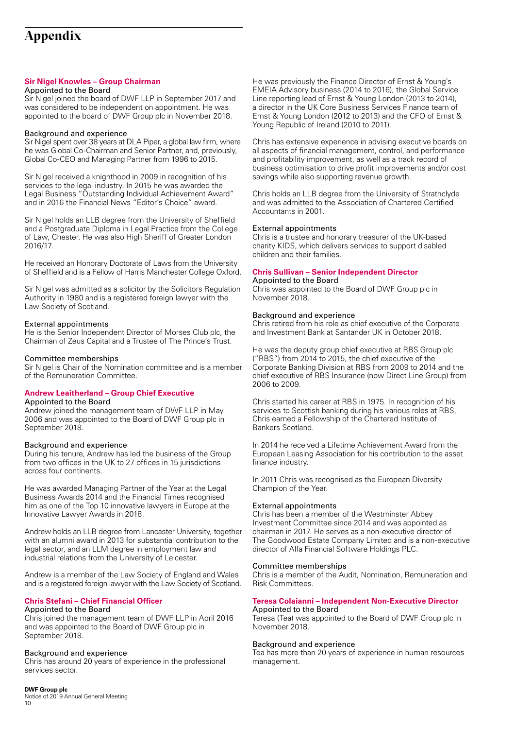# **Appendix**

### **Sir Nigel Knowles – Group Chairman**

#### Appointed to the Board

Sir Nigel joined the board of DWF LLP in September 2017 and was considered to be independent on appointment. He was appointed to the board of DWF Group plc in November 2018.

#### Background and experience

Sir Nigel spent over 38 years at DLA Piper, a global law firm, where he was Global Co-Chairman and Senior Partner, and, previously, Global Co-CEO and Managing Partner from 1996 to 2015.

Sir Nigel received a knighthood in 2009 in recognition of his services to the legal industry. In 2015 he was awarded the Legal Business "Outstanding Individual Achievement Award" and in 2016 the Financial News "Editor's Choice" award.

Sir Nigel holds an LLB degree from the University of Sheffield and a Postgraduate Diploma in Legal Practice from the College of Law, Chester. He was also High Sheriff of Greater London 2016/17.

He received an Honorary Doctorate of Laws from the University of Sheffield and is a Fellow of Harris Manchester College Oxford.

Sir Nigel was admitted as a solicitor by the Solicitors Regulation Authority in 1980 and is a registered foreign lawyer with the Law Society of Scotland.

#### External appointments

He is the Senior Independent Director of Morses Club plc, the Chairman of Zeus Capital and a Trustee of The Prince's Trust.

#### Committee memberships

Sir Nigel is Chair of the Nomination committee and is a member of the Remuneration Committee.

#### **Andrew Leaitherland – Group Chief Executive**

#### Appointed to the Board

Andrew joined the management team of DWF LLP in May 2006 and was appointed to the Board of DWF Group plc in September 2018.

#### Background and experience

During his tenure, Andrew has led the business of the Group from two offices in the UK to 27 offices in 15 jurisdictions across four continents.

He was awarded Managing Partner of the Year at the Legal Business Awards 2014 and the Financial Times recognised him as one of the Top 10 innovative lawyers in Europe at the Innovative Lawyer Awards in 2018.

Andrew holds an LLB degree from Lancaster University, together with an alumni award in 2013 for substantial contribution to the legal sector, and an LLM degree in employment law and industrial relations from the University of Leicester.

Andrew is a member of the Law Society of England and Wales and is a registered foreign lawyer with the Law Society of Scotland.

## **Chris Stefani – Chief Financial Officer**

## Appointed to the Board

Chris joined the management team of DWF LLP in April 2016 and was appointed to the Board of DWF Group plc in September 2018.

#### Background and experience

Chris has around 20 years of experience in the professional services sector.

He was previously the Finance Director of Ernst & Young's EMEIA Advisory business (2014 to 2016), the Global Service Line reporting lead of Ernst & Young London (2013 to 2014), a director in the UK Core Business Services Finance team of Ernst & Young London (2012 to 2013) and the CFO of Ernst & Young Republic of Ireland (2010 to 2011).

Chris has extensive experience in advising executive boards on all aspects of financial management, control, and performance and profitability improvement, as well as a track record of business optimisation to drive profit improvements and/or cost savings while also supporting revenue growth.

Chris holds an LLB degree from the University of Strathclyde and was admitted to the Association of Chartered Certified Accountants in 2001.

#### External appointments

Chris is a trustee and honorary treasurer of the UK-based charity KIDS, which delivers services to support disabled children and their families.

## **Chris Sullivan – Senior Independent Director**

## Appointed to the Board

Chris was appointed to the Board of DWF Group plc in November 2018.

#### Background and experience

Chris retired from his role as chief executive of the Corporate and Investment Bank at Santander UK in October 2018.

He was the deputy group chief executive at RBS Group plc ("RBS") from 2014 to 2015, the chief executive of the Corporate Banking Division at RBS from 2009 to 2014 and the chief executive of RBS Insurance (now Direct Line Group) from 2006 to 2009.

Chris started his career at RBS in 1975. In recognition of his services to Scottish banking during his various roles at RBS, Chris earned a Fellowship of the Chartered Institute of Bankers Scotland.

In 2014 he received a Lifetime Achievement Award from the European Leasing Association for his contribution to the asset finance industry.

In 2011 Chris was recognised as the European Diversity Champion of the Year.

#### External appointments

Chris has been a member of the Westminster Abbey Investment Committee since 2014 and was appointed as chairman in 2017. He serves as a non-executive director of The Goodwood Estate Company Limited and is a non-executive director of Alfa Financial Software Holdings PLC.

#### Committee memberships

Chris is a member of the Audit, Nomination, Remuneration and Risk Committees.

#### **Teresa Colaianni – Independent Non-Executive Director**  Appointed to the Board

Teresa (Tea) was appointed to the Board of DWF Group plc in November 2018.

#### Background and experience

Tea has more than 20 years of experience in human resources management.

## **DWF Group plc**

Notice of 2019 Annual General Meeting 10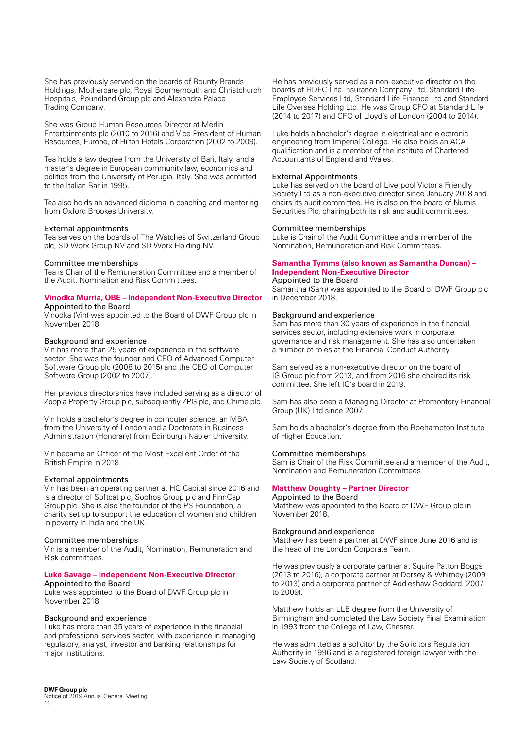She has previously served on the boards of Bounty Brands Holdings, Mothercare plc, Royal Bournemouth and Christchurch Hospitals, Poundland Group plc and Alexandra Palace Trading Company.

She was Group Human Resources Director at Merlin Entertainments plc (2010 to 2016) and Vice President of Human Resources, Europe, of Hilton Hotels Corporation (2002 to 2009).

Tea holds a law degree from the University of Bari, Italy, and a master's degree in European community law, economics and politics from the University of Perugia, Italy. She was admitted to the Italian Bar in 1995.

Tea also holds an advanced diploma in coaching and mentoring from Oxford Brookes University.

#### External appointments

Tea serves on the boards of The Watches of Switzerland Group plc, SD Worx Group NV and SD Worx Holding NV.

#### Committee memberships

Tea is Chair of the Remuneration Committee and a member of the Audit, Nomination and Risk Committees.

#### **Vinodka Murria, OBE – Independent Non-Executive Director** Appointed to the Board

Vinodka (Vin) was appointed to the Board of DWF Group plc in November 2018.

#### Background and experience

Vin has more than 25 years of experience in the software sector. She was the founder and CEO of Advanced Computer Software Group plc (2008 to 2015) and the CEO of Computer Software Group (2002 to 2007).

Her previous directorships have included serving as a director of Zoopla Property Group plc, subsequently ZPG plc, and Chime plc.

Vin holds a bachelor's degree in computer science, an MBA from the University of London and a Doctorate in Business Administration (Honorary) from Edinburgh Napier University.

Vin became an Officer of the Most Excellent Order of the British Empire in 2018.

#### External appointments

Vin has been an operating partner at HG Capital since 2016 and is a director of Softcat plc, Sophos Group plc and FinnCap Group plc. She is also the founder of the PS Foundation, a charity set up to support the education of women and children in poverty in India and the UK.

#### Committee memberships

Vin is a member of the Audit, Nomination, Remuneration and Risk committees.

#### **Luke Savage – Independent Non-Executive Director** Appointed to the Board

Luke was appointed to the Board of DWF Group plc in November 2018.

#### Background and experience

Luke has more than 35 years of experience in the financial and professional services sector, with experience in managing regulatory, analyst, investor and banking relationships for major institutions.

He has previously served as a non-executive director on the boards of HDFC Life Insurance Company Ltd, Standard Life Employee Services Ltd, Standard Life Finance Ltd and Standard Life Oversea Holding Ltd. He was Group CFO at Standard Life (2014 to 2017) and CFO of Lloyd's of London (2004 to 2014).

Luke holds a bachelor's degree in electrical and electronic engineering from Imperial College. He also holds an ACA qualification and is a member of the institute of Chartered Accountants of England and Wales.

#### External Appointments

Luke has served on the board of Liverpool Victoria Friendly Society Ltd as a non-executive director since January 2018 and chairs its audit committee. He is also on the board of Numis Securities Plc, chairing both its risk and audit committees.

#### Committee memberships

Luke is Chair of the Audit Committee and a member of the Nomination, Remuneration and Risk Committees.

#### **Samantha Tymms (also known as Samantha Duncan) – Independent Non-Executive Director**

#### Appointed to the Board

Samantha (Sam) was appointed to the Board of DWF Group plc in December 2018.

#### Background and experience

Sam has more than 30 years of experience in the financial services sector, including extensive work in corporate governance and risk management. She has also undertaken a number of roles at the Financial Conduct Authority.

Sam served as a non-executive director on the board of IG Group plc from 2013, and from 2016 she chaired its risk committee. She left IG's board in 2019.

Sam has also been a Managing Director at Promontory Financial Group (UK) Ltd since 2007.

Sam holds a bachelor's degree from the Roehampton Institute of Higher Education.

#### Committee memberships

Sam is Chair of the Risk Committee and a member of the Audit, Nomination and Remuneration Committees.

#### **Matthew Doughty – Partner Director**

Appointed to the Board Matthew was appointed to the Board of DWF Group plc in November 2018.

#### Background and experience

Matthew has been a partner at DWF since June 2016 and is the head of the London Corporate Team.

He was previously a corporate partner at Squire Patton Boggs (2013 to 2016), a corporate partner at Dorsey & Whitney (2009 to 2013) and a corporate partner of Addleshaw Goddard (2007 to 2009).

Matthew holds an LLB degree from the University of Birmingham and completed the Law Society Final Examination in 1993 from the College of Law, Chester.

He was admitted as a solicitor by the Solicitors Regulation Authority in 1996 and is a registered foreign lawyer with the Law Society of Scotland.